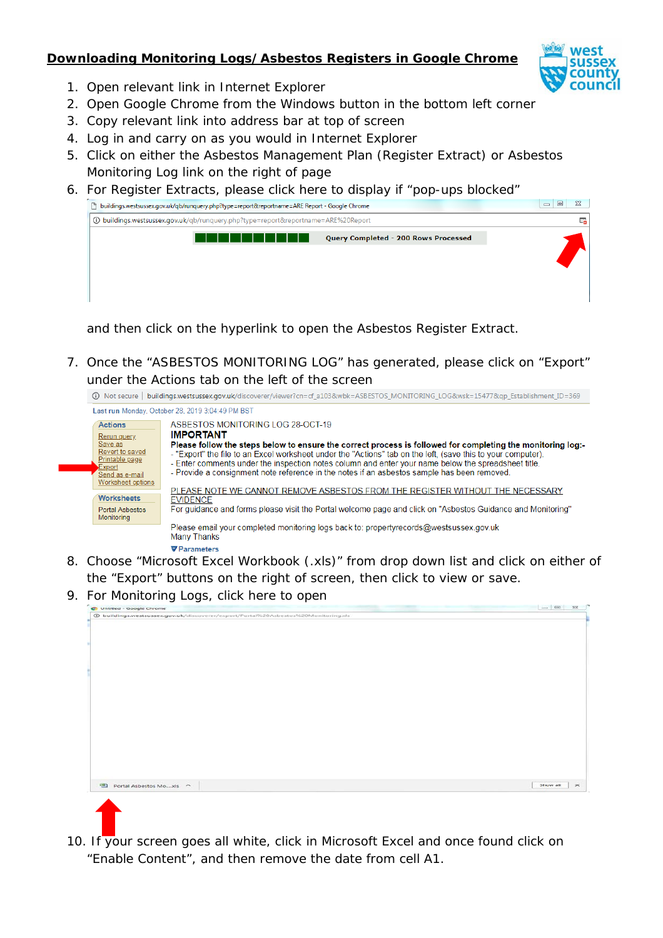# **Downloading Monitoring Logs/Asbestos Registers in Google Chrome**



- 1. Open relevant link in Internet Explorer
- 2. Open Google Chrome from the Windows button in the bottom left corner
- 3. Copy relevant link into address bar at top of screen
- 4. Log in and carry on as you would in Internet Explorer
- 5. Click on either the Asbestos Management Plan (Register Extract) or Asbestos Monitoring Log link on the right of page
- 6. For Register Extracts, please click here to display if "pop-ups blocked"

| huildings.westsussex.gov.uk/qb/runquery.php?type=report&reportname=ARE Report - Google Chrome |                                      | 回<br>$\Box$ |
|-----------------------------------------------------------------------------------------------|--------------------------------------|-------------|
| 4D buildings.westsussex.gov.uk/qb/runquery.php?type=report&reportname=ARE%20Report            |                                      | E.          |
|                                                                                               | Query Completed - 200 Rows Processed |             |
|                                                                                               |                                      |             |

and then click on the hyperlink to open the Asbestos Register Extract.

7. Once the "ASBESTOS MONITORING LOG" has generated, please click on "Export" under the Actions tab on the left of the screen



- 8. Choose "Microsoft Excel Workbook (.xls)" from drop down list and click on either of the "Export" buttons on the right of screen, then click to view or save.
- 9. For Monitoring Logs, click here to open



10. If your screen goes all white, click in Microsoft Excel and once found click on "Enable Content", and then remove the date from cell A1.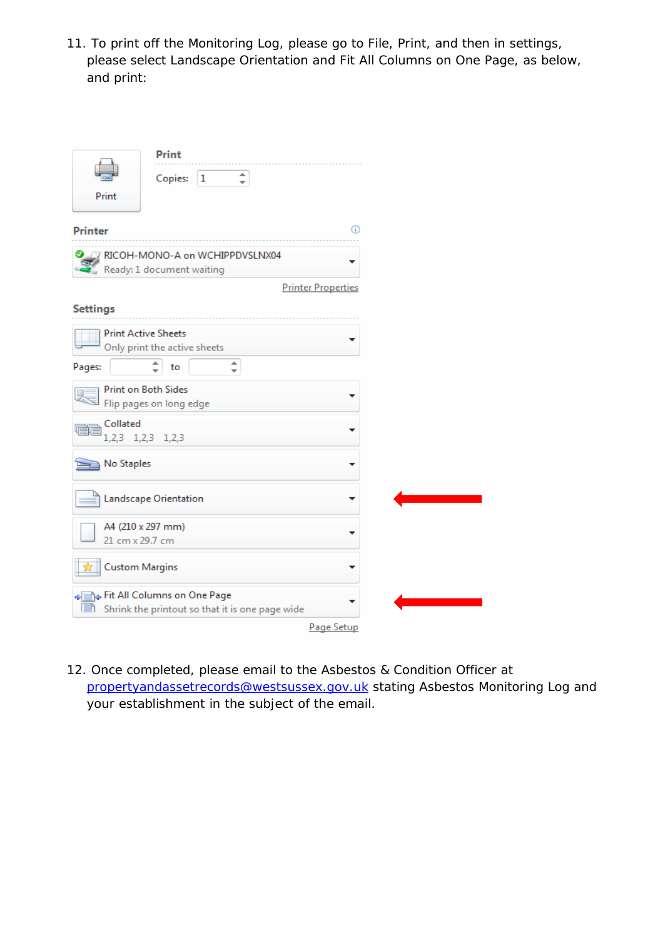11. To print off the Monitoring Log, please go to File, Print, and then in settings, please select Landscape Orientation and Fit All Columns on One Page, as below, and print:

|                               | <b>Print</b>                                                                               |                           |
|-------------------------------|--------------------------------------------------------------------------------------------|---------------------------|
|                               | $\hat{z}$<br>Copies:<br>1                                                                  |                           |
| Print                         |                                                                                            |                           |
| <b>Printer</b>                |                                                                                            | ⊕                         |
|                               | RICOH-MONO-A on WCHIPPDVSLNX04<br>Ready: 1 document waiting                                |                           |
|                               |                                                                                            | <b>Printer Properties</b> |
| <b>Settings</b>               |                                                                                            |                           |
| <b>Print Active Sheets</b>    | Only print the active sheets                                                               |                           |
| Pages:                        | ∸<br>to                                                                                    |                           |
| Print on Both Sides           | Flip pages on long edge                                                                    |                           |
| Collated<br>1,2,3 1,2,3 1,2,3 |                                                                                            |                           |
| No Staples                    |                                                                                            |                           |
|                               | Landscape Orientation                                                                      |                           |
| A4 (210 x 297 mm)             |                                                                                            |                           |
| 21 cm x 29.7 cm               |                                                                                            |                           |
| <b>Custom Margins</b>         |                                                                                            |                           |
|                               | + Fit All Columns on One Page<br><b>Th</b> Shrink the printout so that it is one page wide |                           |
|                               |                                                                                            | Page Setup                |

12. Once completed, please email to the Asbestos & Condition Officer at [propertyandassetrecords@westsussex.gov.uk](mailto:propertyandassetrecords@westsussex.gov.uk) stating Asbestos Monitoring Log and your establishment in the subject of the email.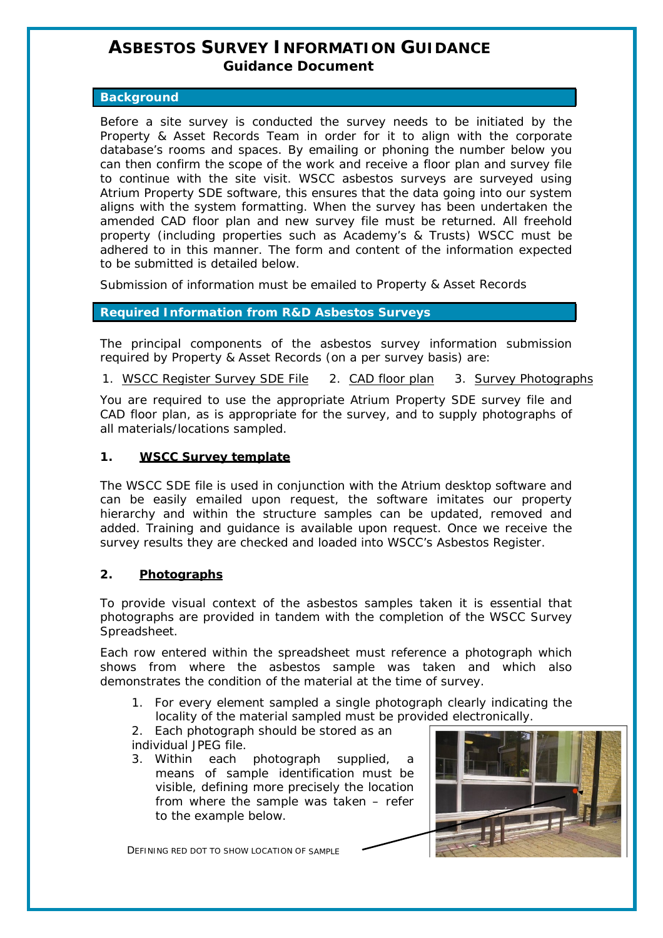# **ASBESTOS SURVEY INFORMATION GUIDANCE Guidance Document**

#### **Background**

Before a site survey is conducted the survey needs to be initiated by the Property & Asset Records Team in order for it to align with the corporate database's rooms and spaces. By emailing or phoning the number below you can then confirm the scope of the work and receive a floor plan and survey file to continue with the site visit. WSCC asbestos surveys are surveyed using Atrium Property SDE software, this ensures that the data going into our system aligns with the system formatting. When the survey has been undertaken the amended CAD floor plan and new survey file must be returned. All freehold property (including properties such as Academy's & Trusts) WSCC must be adhered to in this manner. The form and content of the information expected to be submitted is detailed below.

Submission of information must be emailed to Property & Asset Records

## **Required Information from R&D Asbestos Surveys**

The principal components of the asbestos survey information submission required by Property & Asset Records (on a per survey basis) are:

1. WSCC Register Survey SDE File 2. CAD floor plan 3. Survey Photographs

You are required to use the appropriate Atrium Property SDE survey file and CAD floor plan, as is appropriate for the survey, and to supply photographs of all materials/locations sampled.

#### **1. WSCC Survey template**

The WSCC SDE file is used in conjunction with the Atrium desktop software and can be easily emailed upon request, the software imitates our property hierarchy and within the structure samples can be updated, removed and added. Training and guidance is available upon request. Once we receive the survey results they are checked and loaded into WSCC's Asbestos Register.

#### **2. Photographs**

To provide visual context of the asbestos samples taken it is essential that photographs are provided in tandem with the completion of the WSCC Survey Spreadsheet.

Each row entered within the spreadsheet must reference a photograph which shows from where the asbestos sample was taken and which also demonstrates the condition of the material at the time of survey.

- 1. For every element sampled a single photograph clearly indicating the locality of the material sampled must be provided electronically.
- 2. Each photograph should be stored as an individual JPEG file.
- 3. Within each photograph supplied, a means of sample identification must be visible, defining more precisely the location from where the sample was taken – refer to the example below.

DEFINING RED DOT TO SHOW LOCATION OF SAMPLE

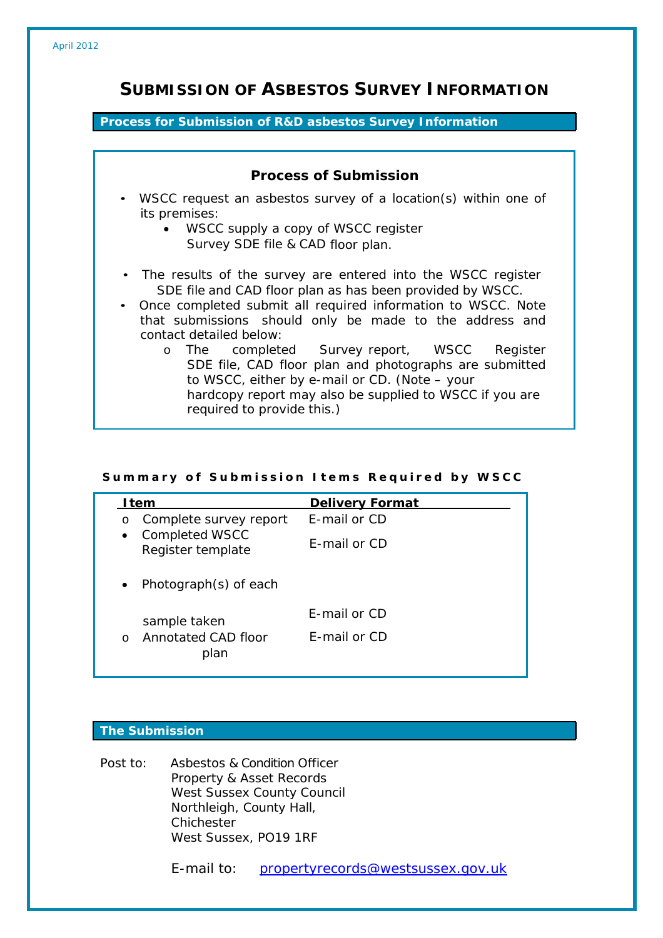# **SUBMISSION OF ASBESTOS SURVEY INFORMATION**

### **Process for Submission of R&D asbestos Survey Information**

| <b>Process of Submission</b>                                                                                                                                                                                                                                                                                                                                                                                                                                                                                                               |
|--------------------------------------------------------------------------------------------------------------------------------------------------------------------------------------------------------------------------------------------------------------------------------------------------------------------------------------------------------------------------------------------------------------------------------------------------------------------------------------------------------------------------------------------|
| • WSCC request an asbestos survey of a location(s) within one of<br>its premises:<br>• WSCC supply a copy of WSCC register<br>Survey SDE file & CAD floor plan.                                                                                                                                                                                                                                                                                                                                                                            |
| • The results of the survey are entered into the WSCC register<br>SDE file and CAD floor plan as has been provided by WSCC.<br>• Once completed submit all required information to WSCC. Note<br>that submissions should only be made to the address and<br>contact detailed below:<br>o The completed Survey report, WSCC<br>Register<br>SDE file, CAD floor plan and photographs are submitted<br>to WSCC, either by e-mail or CD. (Note – your<br>hardcopy report may also be supplied to WSCC if you are<br>required to provide this.) |

#### Summary of Submission Items Required by WSCC

| <b>Delivery Format</b> |
|------------------------|
| <b>F-mail or CD</b>    |
| F-mail or CD           |
|                        |
| F-mail or CD           |
| F-mail or CD           |
|                        |

## **The Submission**

Post to: Asbestos & Condition Officer Property & Asset Records West Sussex County Council Northleigh, County Hall, **Chichester** West Sussex, PO19 1RF

E-mail to: [propertyrecords@westsussex.gov.uk](mailto:propertyrecords@westsussex.gov.uk)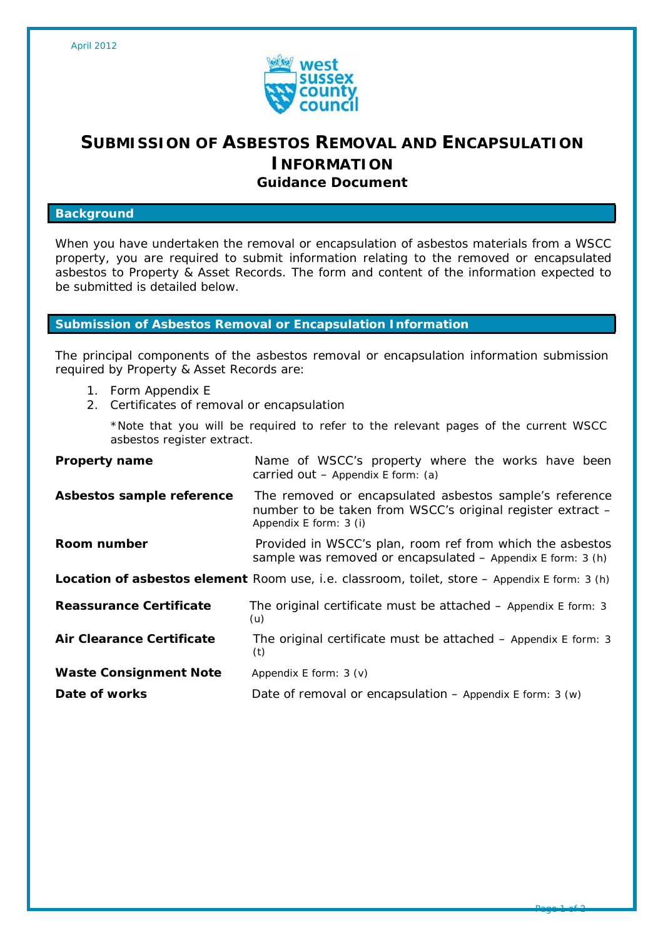

# **SUBMISSION OF ASBESTOS REMOVAL AND ENCAPSULATION INFORMATION Guidance Document**

#### **Background**

When you have undertaken the removal or encapsulation of asbestos materials from a WSCC property, you are required to submit information relating to the removed or encapsulated asbestos to Property & Asset Records. The form and content of the information expected to be submitted is detailed below.

#### **Submission of Asbestos Removal or Encapsulation Information**

The principal components of the asbestos removal or encapsulation information submission required by Property & Asset Records are:

- 1. Form Appendix E
- 2. Certificates of removal or encapsulation

\*Note that you will be required to refer to the relevant pages of the current WSCC asbestos register extract.

| <b>Property name</b>                                                                          | Name of WSCC's property where the works have been<br>carried out $-$ Appendix E form: (a)                                                       |  |
|-----------------------------------------------------------------------------------------------|-------------------------------------------------------------------------------------------------------------------------------------------------|--|
| Asbestos sample reference                                                                     | The removed or encapsulated asbestos sample's reference<br>number to be taken from WSCC's original register extract -<br>Appendix E form: 3 (i) |  |
| Room number                                                                                   | Provided in WSCC's plan, room ref from which the asbestos<br>sample was removed or encapsulated - Appendix E form: 3 (h)                        |  |
| Location of asbestos element Room use, i.e. classroom, toilet, store - Appendix E form: 3 (h) |                                                                                                                                                 |  |
| Reassurance Certificate                                                                       | The original certificate must be attached $-$ Appendix E form: 3<br>(u)                                                                         |  |
| Air Clearance Certificate                                                                     | The original certificate must be attached $-$ Appendix E form: 3<br>(t)                                                                         |  |
| <b>Waste Consignment Note</b>                                                                 | Appendix E form: $3 (v)$                                                                                                                        |  |
| Date of works                                                                                 | Date of removal or encapsulation $-$ Appendix E form: 3 (w)                                                                                     |  |

Page 1 of 2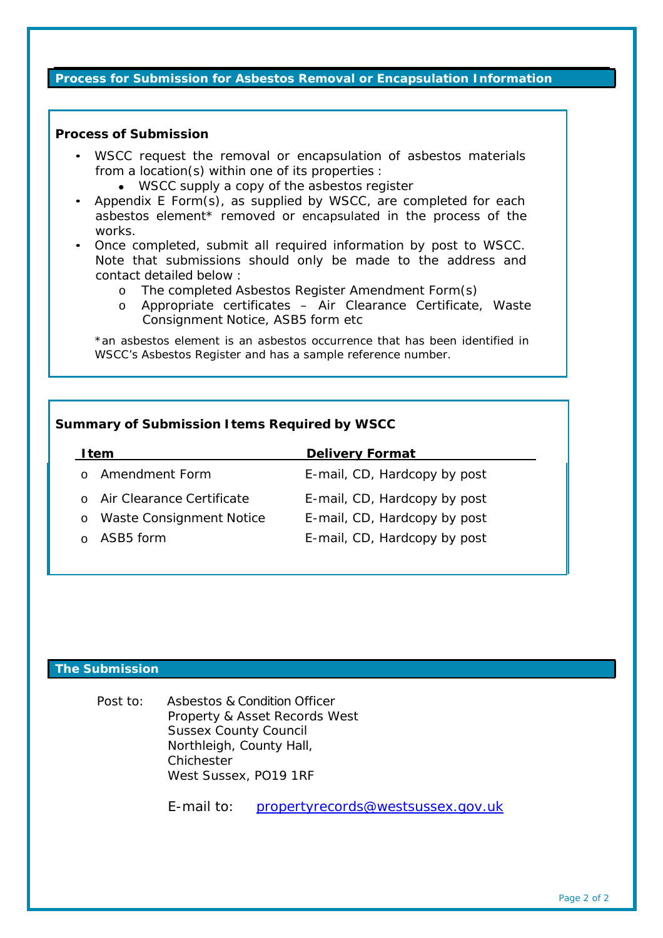#### **Process for Submission for Asbestos Removal or Encapsulation Information**

#### **Process of Submission**

- WSCC request the removal or encapsulation of asbestos materials from a location(s) within one of its properties :
	- WSCC supply a copy of the asbestos register
- Appendix E Form(s), as supplied by WSCC, are completed for each asbestos element\* removed or encapsulated in the process of the works.
- Once completed, submit all required information by post to WSCC. Note that submissions should only be made to the address and contact detailed below :
	- o The completed Asbestos Register Amendment Form(s)<br>
	o Appropriate certificates Air Clearance Certificate
	- Appropriate certificates Air Clearance Certificate, Waste Consignment Notice, ASB5 form etc

\*an asbestos element is an asbestos occurrence that has been identified in WSCC's Asbestos Register and has a sample reference number.

#### **Summary of Submission Items Required by WSCC**

| l tem                                      | <b>Delivery Format</b>       |
|--------------------------------------------|------------------------------|
| Amendment Form                             | E-mail, CD, Hardcopy by post |
| o Air Clearance Certificate                | E-mail, CD, Hardcopy by post |
| <b>Waste Consignment Notice</b><br>$\circ$ | E-mail, CD, Hardcopy by post |
| ASB5 form                                  | E-mail, CD, Hardcopy by post |

### **The Submission**

Post to: Asbestos & Condition Officer Property & Asset Records West Sussex County Council Northleigh, County Hall, Chichester West Sussex, PO19 1RF

E-mail to: [propertyrecords@westsussex.gov.uk](mailto:propertyrecords@westsussex.gov.uk)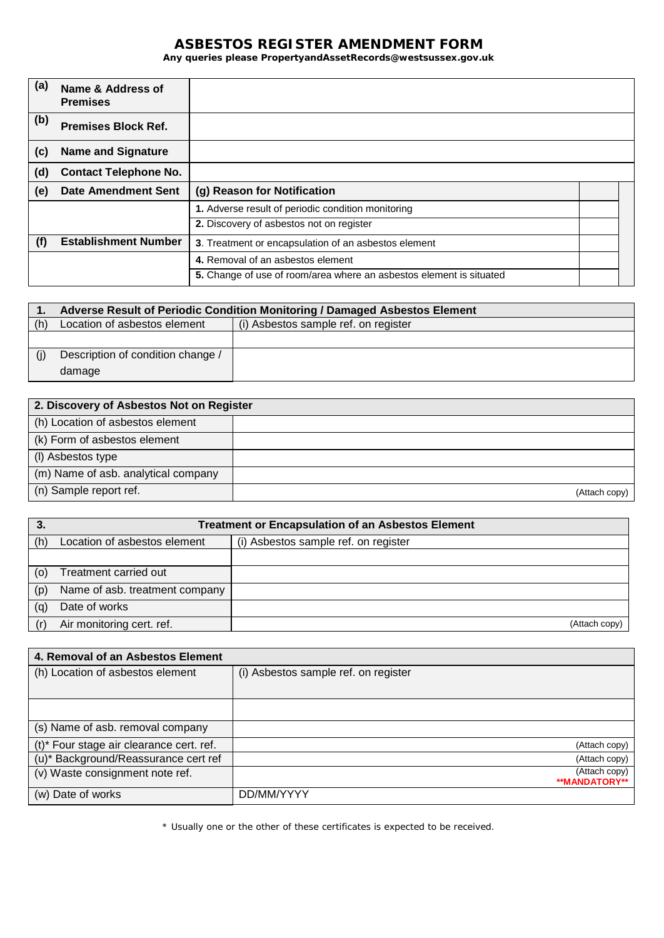## **ASBESTOS REGISTER AMENDMENT FORM**

**Any queries please PropertyandAssetRecords@westsussex.gov.uk**

| (a) | Name & Address of<br><b>Premises</b> |                                                                     |  |
|-----|--------------------------------------|---------------------------------------------------------------------|--|
| (b) | <b>Premises Block Ref.</b>           |                                                                     |  |
| (c) | <b>Name and Signature</b>            |                                                                     |  |
| (d) | <b>Contact Telephone No.</b>         |                                                                     |  |
| (e) | <b>Date Amendment Sent</b>           | (g) Reason for Notification                                         |  |
|     |                                      | 1. Adverse result of periodic condition monitoring                  |  |
|     |                                      | 2. Discovery of asbestos not on register                            |  |
| (†) | <b>Establishment Number</b>          | 3. Treatment or encapsulation of an asbestos element                |  |
|     |                                      | 4. Removal of an asbestos element                                   |  |
|     |                                      | 5. Change of use of room/area where an asbestos element is situated |  |

|     | Adverse Result of Periodic Condition Monitoring / Damaged Asbestos Element |                                      |
|-----|----------------------------------------------------------------------------|--------------------------------------|
| (h) | Location of asbestos element                                               | (i) Asbestos sample ref. on register |
|     |                                                                            |                                      |
|     | Description of condition change /                                          |                                      |
|     | damage                                                                     |                                      |

| 2. Discovery of Asbestos Not on Register |               |
|------------------------------------------|---------------|
| (h) Location of asbestos element         |               |
| (k) Form of asbestos element             |               |
| (I) Asbestos type                        |               |
| (m) Name of asb. analytical company      |               |
| (n) Sample report ref.                   | (Attach copy) |

|     | <b>Treatment or Encapsulation of an Asbestos Element</b> |                                      |
|-----|----------------------------------------------------------|--------------------------------------|
| (h) | Location of asbestos element                             | (i) Asbestos sample ref. on register |
|     |                                                          |                                      |
| (0) | Treatment carried out                                    |                                      |
| (p) | Name of asb. treatment company                           |                                      |
| (q) | Date of works                                            |                                      |
|     | Air monitoring cert. ref.                                | (Attach copy)                        |

| 4. Removal of an Asbestos Element        |                                      |
|------------------------------------------|--------------------------------------|
| (h) Location of asbestos element         | (i) Asbestos sample ref. on register |
|                                          |                                      |
|                                          |                                      |
| (s) Name of asb. removal company         |                                      |
| (t)* Four stage air clearance cert. ref. | (Attach copy)                        |
| (u)* Background/Reassurance cert ref     | (Attach copy)                        |
| (v) Waste consignment note ref.          | (Attach copy)<br>**MANDATORY**       |
| (w) Date of works                        | DD/MM/YYYY                           |

\* Usually one or the other of these certificates is expected to be received.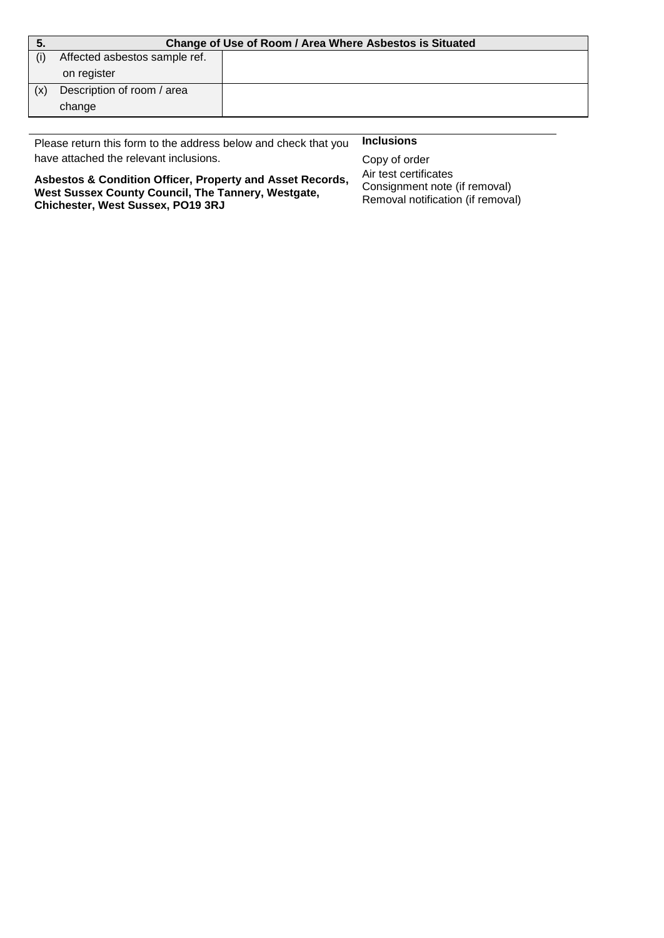|     | Change of Use of Room / Area Where Asbestos is Situated |  |
|-----|---------------------------------------------------------|--|
|     | Affected asbestos sample ref.                           |  |
|     | on register                                             |  |
| (x) | Description of room / area                              |  |
|     | change                                                  |  |

Please return this form to the address below and check that you **Inclusions**  have attached the relevant inclusions. The copy of order copy of order

Air test certificates Consignment note (if removal) Removal notification (if removal)

**Asbestos & Condition Officer, Property and Asset Records, West Sussex County Council, The Tannery, Westgate, Chichester, West Sussex, PO19 3RJ**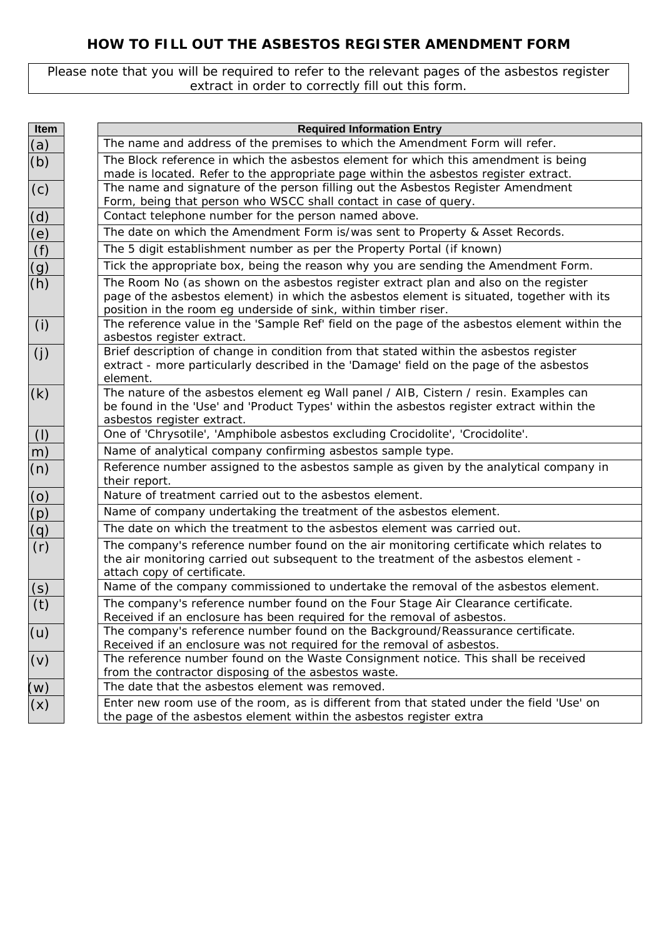# **HOW TO FILL OUT THE ASBESTOS REGISTER AMENDMENT FORM**

Please note that you will be required to refer to the relevant pages of the asbestos register extract in order to correctly fill out this form.

| Item                 | <b>Required Information Entry</b>                                                                                                                                                                                                                     |
|----------------------|-------------------------------------------------------------------------------------------------------------------------------------------------------------------------------------------------------------------------------------------------------|
| (a)                  | The name and address of the premises to which the Amendment Form will refer.                                                                                                                                                                          |
| (b)                  | The Block reference in which the asbestos element for which this amendment is being<br>made is located. Refer to the appropriate page within the asbestos register extract.                                                                           |
| (c)                  | The name and signature of the person filling out the Asbestos Register Amendment<br>Form, being that person who WSCC shall contact in case of query.                                                                                                  |
| (d)                  | Contact telephone number for the person named above.                                                                                                                                                                                                  |
|                      | The date on which the Amendment Form is/was sent to Property & Asset Records.                                                                                                                                                                         |
| $\frac{e}{f}$        | The 5 digit establishment number as per the Property Portal (if known)                                                                                                                                                                                |
| $\overline{(g)}$     | Tick the appropriate box, being the reason why you are sending the Amendment Form.                                                                                                                                                                    |
| (h)                  | The Room No (as shown on the asbestos register extract plan and also on the register<br>page of the asbestos element) in which the asbestos element is situated, together with its<br>position in the room eg underside of sink, within timber riser. |
| (i)                  | The reference value in the 'Sample Ref' field on the page of the asbestos element within the<br>asbestos register extract.                                                                                                                            |
| (j)                  | Brief description of change in condition from that stated within the asbestos register<br>extract - more particularly described in the 'Damage' field on the page of the asbestos<br>element.                                                         |
| (k)                  | The nature of the asbestos element eg Wall panel / AIB, Cistern / resin. Examples can<br>be found in the 'Use' and 'Product Types' within the asbestos register extract within the<br>asbestos register extract.                                      |
| $\left(\vert\right)$ | One of 'Chrysotile', 'Amphibole asbestos excluding Crocidolite', 'Crocidolite'.                                                                                                                                                                       |
| (m)                  | Name of analytical company confirming asbestos sample type.                                                                                                                                                                                           |
| (n)                  | Reference number assigned to the asbestos sample as given by the analytical company in<br>their report.                                                                                                                                               |
|                      | Nature of treatment carried out to the asbestos element.                                                                                                                                                                                              |
| $\frac{(o)}{(p)}$    | Name of company undertaking the treatment of the asbestos element.                                                                                                                                                                                    |
| (q)                  | The date on which the treatment to the asbestos element was carried out.                                                                                                                                                                              |
| (r)                  | The company's reference number found on the air monitoring certificate which relates to<br>the air monitoring carried out subsequent to the treatment of the asbestos element -<br>attach copy of certificate.                                        |
| <u>(s)</u>           | Name of the company commissioned to undertake the removal of the asbestos element.                                                                                                                                                                    |
| (t)                  | The company's reference number found on the Four Stage Air Clearance certificate.<br>Received if an enclosure has been required for the removal of asbestos.                                                                                          |
| (u)                  | The company's reference number found on the Background/Reassurance certificate.<br>Received if an enclosure was not required for the removal of asbestos.                                                                                             |
| (v)                  | The reference number found on the Waste Consignment notice. This shall be received<br>from the contractor disposing of the asbestos waste.                                                                                                            |
| (w)                  | The date that the asbestos element was removed.                                                                                                                                                                                                       |
| (x)                  | Enter new room use of the room, as is different from that stated under the field 'Use' on<br>the page of the asbestos element within the asbestos register extra                                                                                      |